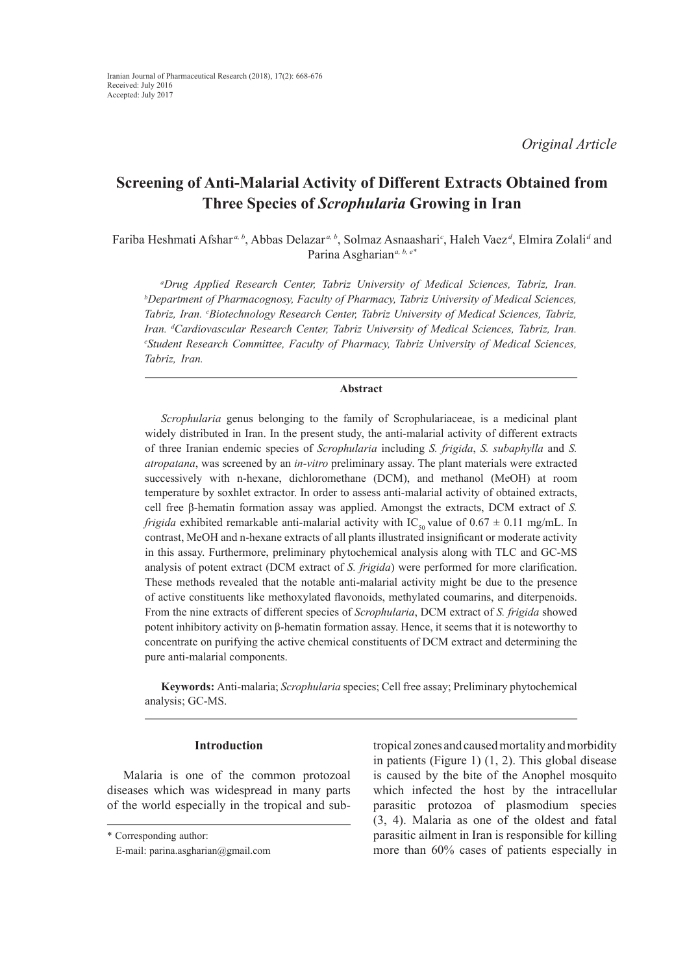*Original Article*

# **Screening of Anti-Malarial Activity of Different Extracts Obtained from Three Species of** *Scrophularia* **Growing in Iran**

Fariba Heshmati Afshar *a, b*, Abbas Delazar *a, b*, Solmaz Asnaashari*<sup>c</sup>* , Haleh Vaez *<sup>d</sup>* , Elmira Zolali*<sup>d</sup>* and Parina Asgharian*a, b, e\**

*a Drug Applied Research Center, Tabriz University of Medical Sciences, Tabriz, Iran. b Department of Pharmacognosy, Faculty of Pharmacy, Tabriz University of Medical Sciences,*  Tabriz, Iran. <sup>c</sup>Biotechnology Research Center, Tabriz University of Medical Sciences, Tabriz, *Iran. d Cardiovascular Research Center, Tabriz University of Medical Sciences, Tabriz, Iran. e Student Research Committee, Faculty of Pharmacy, Tabriz University of Medical Sciences, Tabriz, Iran.*

## **Abstract**

*Scrophularia* genus belonging to the family of Scrophulariaceae, is a medicinal plant widely distributed in Iran. In the present study, the anti-malarial activity of different extracts of three Iranian endemic species of *Scrophularia* including *S. frigida*, *S. subaphylla* and *S. atropatana*, was screened by an *in-vitro* preliminary assay. The plant materials were extracted successively with n-hexane, dichloromethane (DCM), and methanol (MeOH) at room temperature by soxhlet extractor. In order to assess anti-malarial activity of obtained extracts, cell free β-hematin formation assay was applied. Amongst the extracts, DCM extract of *S. frigida* exhibited remarkable anti-malarial activity with IC<sub>50</sub> value of  $0.67 \pm 0.11$  mg/mL. In contrast, MeOH and n-hexane extracts of all plants illustrated insignificant or moderate activity in this assay. Furthermore, preliminary phytochemical analysis along with TLC and GC-MS analysis of potent extract (DCM extract of *S. frigida*) were performed for more clarification. These methods revealed that the notable anti-malarial activity might be due to the presence of active constituents like methoxylated flavonoids, methylated coumarins, and diterpenoids. From the nine extracts of different species of *Scrophularia*, DCM extract of *S. frigida* showed potent inhibitory activity on β-hematin formation assay. Hence, it seems that it is noteworthy to concentrate on purifying the active chemical constituents of DCM extract and determining the pure anti-malarial components.

**Keywords:** Anti-malaria; *Scrophularia* species; Cell free assay; Preliminary phytochemical analysis; GC-MS.

# **Introduction**

Malaria is one of the common protozoal diseases which was widespread in many parts of the world especially in the tropical and subtropical zones and caused mortality and morbidity in patients (Figure 1) (1, 2). This global disease is caused by the bite of the Anophel mosquito which infected the host by the intracellular parasitic protozoa of plasmodium species (3, 4). Malaria as one of the oldest and fatal parasitic ailment in Iran is responsible for killing more than 60% cases of patients especially in

<sup>\*</sup> Corresponding author:

E-mail: parina.asgharian@gmail.com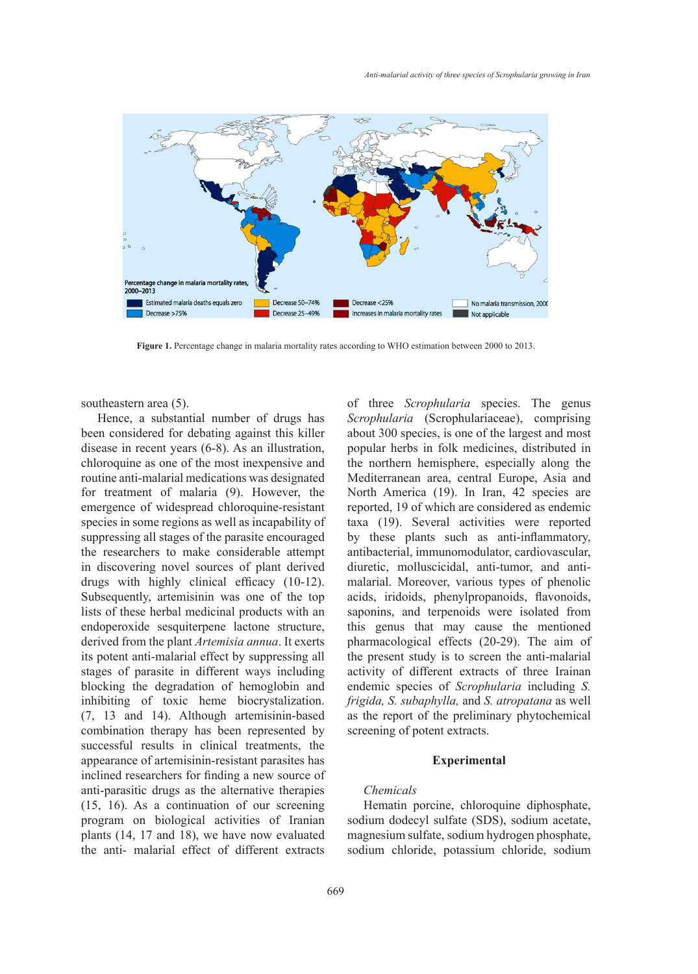

Figure 1. Percentage change in malaria mortality rates according to WHO estimation between 2000 to 2013.

southeastern area (5).

Hence, a substantial number of drugs has been considered for debating against this killer disease in recent years (6-8). As an illustration, chloroquine as one of the most inexpensive and routine anti-malarial medications was designated for treatment of malaria (9). However, the emergence of widespread chloroquine-resistant species in some regions as well as incapability of suppressing all stages of the parasite encouraged the researchers to make considerable attempt in discovering novel sources of plant derived drugs with highly clinical efficacy (10-12). Subsequently, artemisinin was one of the top lists of these herbal medicinal products with an endoperoxide sesquiterpene lactone structure, derived from the plant *Artemisia annua*. It exerts its potent anti-malarial effect by suppressing all stages of parasite in different ways including blocking the degradation of hemoglobin and inhibiting of toxic heme biocrystalization. (7, 13 and 14). Although artemisinin-based combination therapy has been represented by successful results in clinical treatments, the appearance of artemisinin-resistant parasites has inclined researchers for finding a new source of anti-parasitic drugs as the alternative therapies (15, 16). As a continuation of our screening program on biological activities of Iranian plants (14, 17 and 18), we have now evaluated the anti- malarial effect of different extracts

tern area (5). The substantial number of three *Scrophularia* species. The genus *Scrophularia* (Scrophulariaceae), comprising about 300 species, is one of the largest and most insidered for debating against this killer about 300 species, is one of the largest and most in recent years (6-8). As an illustration, popular herbs in folk medicines, distributed in the northern hemisphere, especially along the nti-malarial medications was designated Mediterranean area, central Europe, Asia and North America (19). In Iran, 42 species are state of making  $(s)$ . However, the statement in discovering the research research respective at the research research researchers to make  $(s)$ . If  $s$  respective at the parameters of widespread chloroquine-resistant n some regions as well as incapability of taxa (19). Several activities were reported by these plants such as anti-inflammatory, archers to make considerable attempt antibacterial, immunomodulator, cardiovascular, diuretic, molluscicidal, anti-tumor, and antiweinig nover sources or plant derived and entity, mondseledar, and annually dimensioned and the plant and the plant and the plant and the plant and the plant and the plant of the plant and the plant of the plant and the pl acids, iridoids, phenylpropanoids, flavonoids, saponins, and terpenoids were isolated from this genus that may cause the mentioned pharmacological effects (20-29). The aim of the present study is to screen the anti-malarial activity of different extracts of three Irainan endemic species of *Scrophularia* including *S. frigida, S. subaphylla,* and *S. atropatana* as well as the report of the preliminary phytochemical screening of potent extracts.

#### **Experimental**

# *Chemicals*

Hematin porcine, chloroquine diphosphate, sodium dodecyl sulfate (SDS), sodium acetate, magnesium sulfate, sodium hydrogen phosphate, sodium chloride, potassium chloride, sodium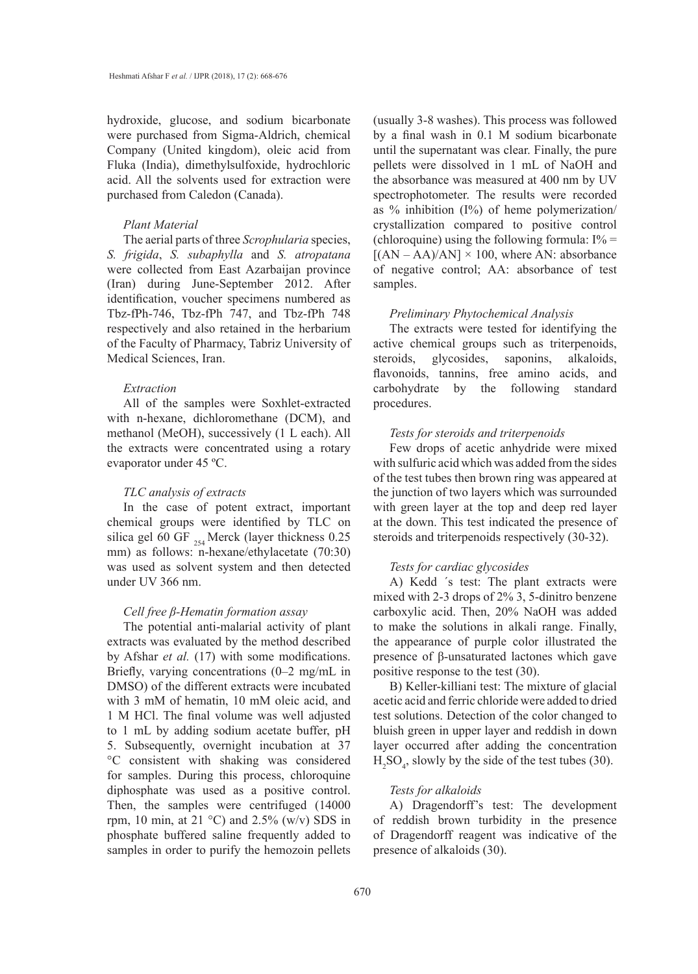hydroxide, glucose, and sodium bicarbonate were purchased from Sigma-Aldrich, chemical Company (United kingdom), oleic acid from Fluka (India), dimethylsulfoxide, hydrochloric acid. All the solvents used for extraction were purchased from Caledon (Canada).

# *Plant Material*

The aerial parts of three *Scrophularia* species, *S. frigida*, *S. subaphylla* and *S. atropatana*  were collected from East Azarbaijan province (Iran) during June-September 2012. After identification, voucher specimens numbered as Tbz-fPh-746, Tbz-fPh 747, and Tbz-fPh 748 respectively and also retained in the herbarium of the Faculty of Pharmacy, Tabriz University of Medical Sciences, Iran.

# *Extraction*

All of the samples were Soxhlet-extracted with n-hexane, dichloromethane (DCM), and methanol (MeOH), successively (1 L each). All the extracts were concentrated using a rotary evaporator under 45 ºC.

#### *TLC analysis of extracts*

In the case of potent extract, important chemical groups were identified by TLC on silica gel 60 GF  $_{254}$  Merck (layer thickness 0.25 mm) as follows: n-hexane/ethylacetate (70:30) was used as solvent system and then detected under UV 366 nm.

## *Cell free β-Hematin formation assay*

The potential anti-malarial activity of plant extracts was evaluated by the method described by Afshar *et al.* (17) with some modifications. Briefly, varying concentrations (0–2 mg/mL in DMSO) of the different extracts were incubated with 3 mM of hematin, 10 mM oleic acid, and 1 M HCl. The final volume was well adjusted to 1 mL by adding sodium acetate buffer, pH 5. Subsequently, overnight incubation at 37 °C consistent with shaking was considered for samples. During this process, chloroquine diphosphate was used as a positive control. Then, the samples were centrifuged (14000 rpm, 10 min, at 21 °C) and 2.5% (w/v) SDS in phosphate buffered saline frequently added to samples in order to purify the hemozoin pellets

(usually 3-8 washes). This process was followed by a final wash in 0.1 M sodium bicarbonate until the supernatant was clear. Finally, the pure pellets were dissolved in 1 mL of NaOH and the absorbance was measured at 400 nm by UV spectrophotometer. The results were recorded as % inhibition (I%) of heme polymerization/ crystallization compared to positive control (chloroquine) using the following formula:  $I\% =$  $[(AN - AA)/AN] \times 100$ , where AN: absorbance of negative control; AA: absorbance of test samples.

#### *Preliminary Phytochemical Analysis*

The extracts were tested for identifying the active chemical groups such as triterpenoids, steroids, glycosides, saponins, alkaloids, flavonoids, tannins, free amino acids, and carbohydrate by the following standard procedures.

# *Tests for steroids and triterpenoids*

Few drops of acetic anhydride were mixed with sulfuric acid which was added from the sides of the test tubes then brown ring was appeared at the junction of two layers which was surrounded with green layer at the top and deep red layer at the down. This test indicated the presence of steroids and triterpenoids respectively (30-32).

# *Tests for cardiac glycosides*

A) Kedd ΄s test: The plant extracts were mixed with 2-3 drops of 2% 3, 5-dinitro benzene carboxylic acid. Then, 20% NaOH was added to make the solutions in alkali range. Finally, the appearance of purple color illustrated the presence of β-unsaturated lactones which gave positive response to the test (30).

B) Keller-killiani test: The mixture of glacial acetic acid and ferric chloride were added to dried test solutions. Detection of the color changed to bluish green in upper layer and reddish in down layer occurred after adding the concentration  $H_2SO_4$ , slowly by the side of the test tubes (30).

# *Tests for alkaloids*

A) Dragendorff's test: The development of reddish brown turbidity in the presence of Dragendorff reagent was indicative of the presence of alkaloids (30).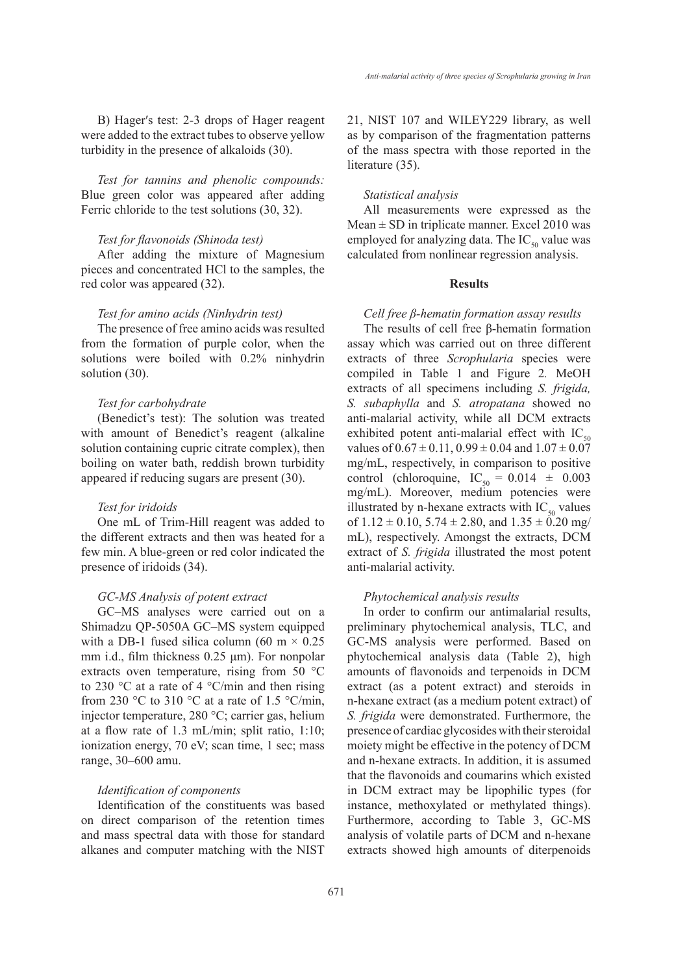B) Hager's test: 2-3 drops of Hager reagent were added to the extract tubes to observe yellow turbidity in the presence of alkaloids (30).

*Test for tannins and phenolic compounds:* Blue green color was appeared after adding Ferric chloride to the test solutions (30, 32).

## *Test for flavonoids (Shinoda test)*

After adding the mixture of Magnesium pieces and concentrated HCl to the samples, the red color was appeared (32).

## *Test for amino acids (Ninhydrin test)*

The presence of free amino acids was resulted from the formation of purple color, when the solutions were boiled with 0.2% ninhydrin solution (30).

## *Test for carbohydrate*

(Benedict's test): The solution was treated with amount of Benedict's reagent (alkaline solution containing cupric citrate complex), then boiling on water bath, reddish brown turbidity appeared if reducing sugars are present (30).

#### *Test for iridoids*

One mL of Trim-Hill reagent was added to the different extracts and then was heated for a few min. A blue-green or red color indicated the presence of iridoids (34).

## *GC-MS Analysis of potent extract*

GC–MS analyses were carried out on a Shimadzu QP-5050A GC–MS system equipped with a DB-1 fused silica column (60 m  $\times$  0.25 mm i.d., film thickness 0.25 μm). For nonpolar extracts oven temperature, rising from 50 °C to 230 °C at a rate of 4 °C/min and then rising from 230 °C to 310 °C at a rate of 1.5 °C/min, injector temperature, 280 °C; carrier gas, helium at a flow rate of 1.3 mL/min; split ratio, 1:10; ionization energy, 70 eV; scan time, 1 sec; mass range, 30–600 amu.

# *Identification of components*

Identification of the constituents was based on direct comparison of the retention times and mass spectral data with those for standard alkanes and computer matching with the NIST

21, NIST 107 and WILEY229 library, as well as by comparison of the fragmentation patterns of the mass spectra with those reported in the literature (35).

#### *Statistical analysis*

All measurements were expressed as the Mean  $\pm$  SD in triplicate manner. Excel 2010 was employed for analyzing data. The  $IC_{50}$  value was calculated from nonlinear regression analysis.

## **Results**

#### *Cell free β-hematin formation assay results*

The results of cell free β-hematin formation assay which was carried out on three different extracts of three *Scrophularia* species were compiled in Table 1 and Figure 2*.* MeOH extracts of all specimens including *S. frigida, S. subaphylla* and *S. atropatana* showed no anti-malarial activity, while all DCM extracts exhibited potent anti-malarial effect with  $IC_{50}$ values of  $0.67 \pm 0.11$ ,  $0.99 \pm 0.04$  and  $1.07 \pm 0.07$ mg/mL, respectively, in comparison to positive control (chloroquine,  $IC_{50} = 0.014 \pm 0.003$ mg/mL). Moreover, medium potencies were illustrated by n-hexane extracts with  $IC_{50}$  values of  $1.12 \pm 0.10$ ,  $5.74 \pm 2.80$ , and  $1.35 \pm 0.20$  mg/ mL), respectively. Amongst the extracts, DCM extract of *S. frigida* illustrated the most potent anti-malarial activity.

#### *Phytochemical analysis results*

In order to confirm our antimalarial results, preliminary phytochemical analysis, TLC, and GC-MS analysis were performed. Based on phytochemical analysis data (Table 2), high amounts of flavonoids and terpenoids in DCM extract (as a potent extract) and steroids in n-hexane extract (as a medium potent extract) of *S. frigida* were demonstrated. Furthermore, the presence of cardiac glycosides with their steroidal moiety might be effective in the potency of DCM and n-hexane extracts. In addition, it is assumed that the flavonoids and coumarins which existed in DCM extract may be lipophilic types (for instance, methoxylated or methylated things). Furthermore, according to Table 3, GC-MS analysis of volatile parts of DCM and n-hexane extracts showed high amounts of diterpenoids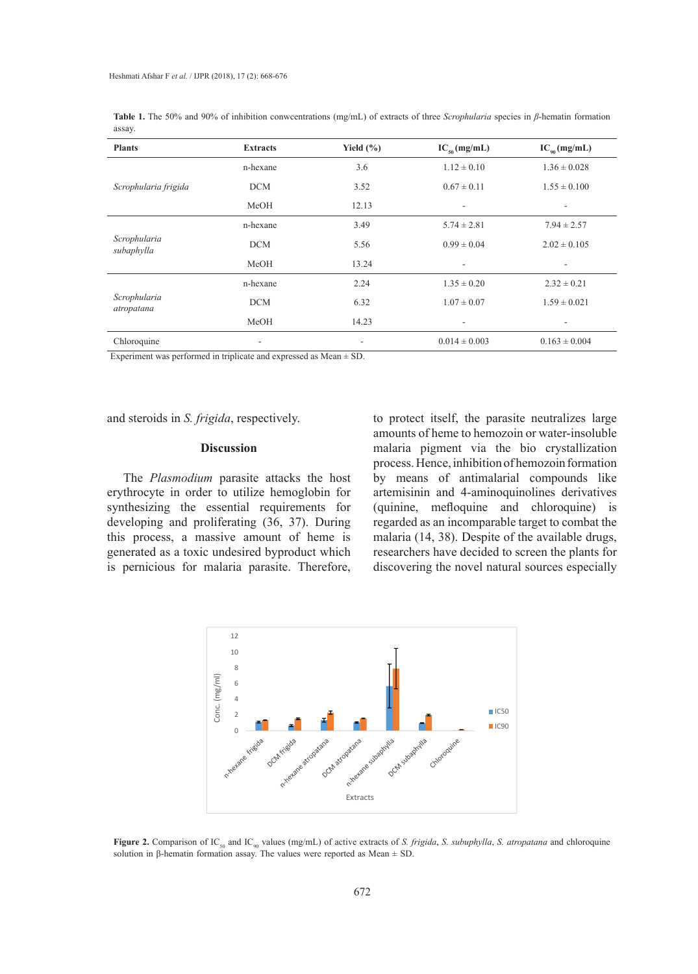| <b>Plants</b>              | <b>Extracts</b> | Yield $(\% )$                | $IC_{50}$ (mg/mL)        | $IC_{\scriptscriptstyle{90}}$ (mg/mL) |
|----------------------------|-----------------|------------------------------|--------------------------|---------------------------------------|
| Scrophularia frigida       | n-hexane        | 3.6                          | $1.12 \pm 0.10$          | $1.36 \pm 0.028$                      |
|                            | <b>DCM</b>      | 3.52                         | $0.67 \pm 0.11$          | $1.55 \pm 0.100$                      |
|                            | MeOH            | 12.13                        | $\overline{\phantom{a}}$ |                                       |
| Scrophularia<br>subaphylla | n-hexane        | 3.49                         | $5.74 \pm 2.81$          | $7.94 \pm 2.57$                       |
|                            | <b>DCM</b>      | 5.56                         | $0.99 \pm 0.04$          | $2.02 \pm 0.105$                      |
|                            | MeOH            | 13.24                        | ٠                        |                                       |
| Scrophularia<br>atropatana | n-hexane        | 2.24                         | $1.35 \pm 0.20$          | $2.32 \pm 0.21$                       |
|                            | <b>DCM</b>      | 6.32                         | $1.07 \pm 0.07$          | $1.59 \pm 0.021$                      |
|                            | MeOH            | 14.23                        | $\overline{\phantom{a}}$ | ۰                                     |
| Chloroquine                | ۰               | $\qquad \qquad \blacksquare$ | $0.014 \pm 0.003$        | $0.163 \pm 0.004$                     |

**Table 1.** The 50% and 90% of inhibition conwcentrations (mg/mL) of extracts of three *Scrophularia* species in *β*-hematin formation assay.

Experiment was performed in triplicate and expressed as  $Mean \pm SD$ .

and steroids in *S. frigida*, respectively.

#### **Discussion**

The *Plasmodium* parasite attacks the host erythrocyte in order to utilize hemoglobin for synthesizing the essential requirements for developing and proliferating (36, 37). During this process, a massive amount of heme is generated as a toxic undesired byproduct which is pernicious for malaria parasite. Therefore, to protect itself, the parasite neutralizes large amounts of heme to hemozoin or water-insoluble malaria pigment via the bio crystallization process. Hence, inhibition of hemozoin formation by means of antimalarial compounds like artemisinin and 4-aminoquinolines derivatives (quinine, mefloquine and chloroquine) is regarded as an incomparable target to combat the malaria (14, 38). Despite of the available drugs, researchers have decided to screen the plants for discovering the novel natural sources especially



Figure 2. Comparison of IC<sub>50</sub> and IC<sub>90</sub> values (mg/mL) of active extracts of S. frigida, S. subuphylla, S. atropatana and chloroquine solution in β-hematin formation assay. The values were reported as Mean  $\pm$  SD.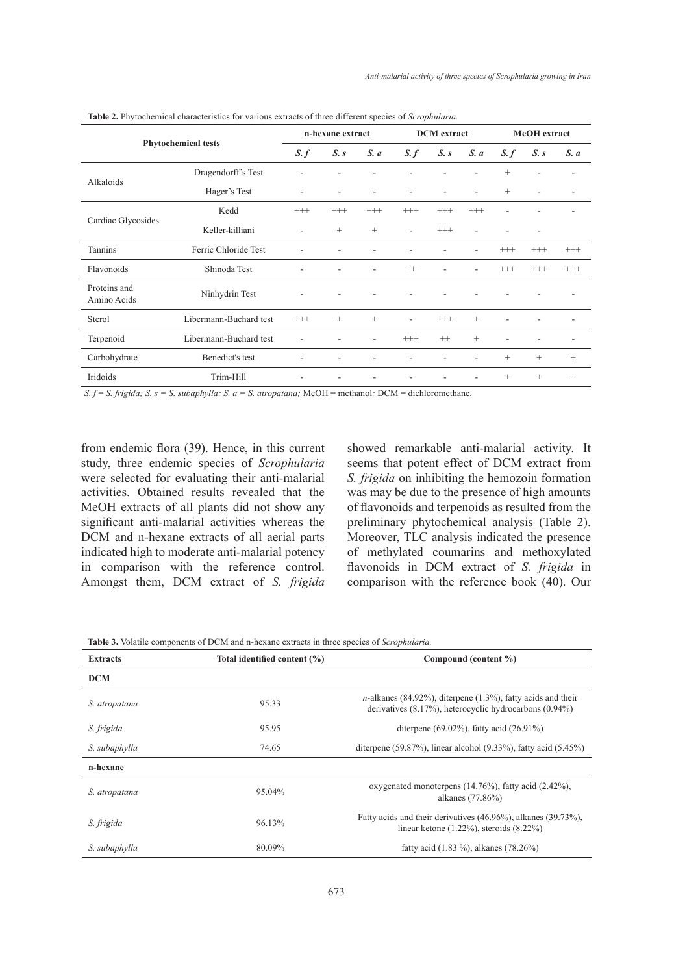| <b>Phytochemical tests</b>  |                        | n-hexane extract         |               | <b>DCM</b> extract |                          | MeOH extract |                   |                 |                   |          |
|-----------------------------|------------------------|--------------------------|---------------|--------------------|--------------------------|--------------|-------------------|-----------------|-------------------|----------|
|                             |                        | S. f                     | $S_{\cdot}$ s | S. a               | S. f                     | S. s         | S. a              | S. f            | $S_{\cdot}$ s     | S. a     |
| Alkaloids                   | Dragendorff's Test     |                          |               |                    |                          |              |                   | $\! + \!\!\!\!$ |                   |          |
|                             | Hager's Test           | ٠                        |               |                    | ۰                        |              |                   | $\! + \!\!\!\!$ |                   |          |
| Cardiac Glycosides          | Kedd                   | $^{+++}$                 | $^{+++}$      | $^{+++}$           | $^{+++}$                 | $+++$        | $^{+++}$          |                 |                   |          |
|                             | Keller-killiani        | $\overline{\phantom{a}}$ | $^{+}$        | $^{+}$             | $\overline{\phantom{a}}$ | $^{+++}$     | ٠                 |                 | Ξ.                |          |
| Tannins                     | Ferric Chloride Test   |                          |               |                    |                          |              |                   | $^{+++}$        | $^{+++}$          | $^{+++}$ |
| Flavonoids                  | Shinoda Test           |                          |               | ۰                  | $^{++}$                  | ٠            |                   | $^{+++}$        | $^{+++}$          | $^{+++}$ |
| Proteins and<br>Amino Acids | Ninhydrin Test         |                          |               |                    |                          |              |                   |                 |                   |          |
| Sterol                      | Libermann-Buchard test | $^{+++}$                 | $^{+}$        | $\! + \!\!\!\!$    | $\overline{\phantom{a}}$ | $^{+++}$     | $\qquad \qquad +$ |                 |                   |          |
| Terpenoid                   | Libermann-Buchard test | ٠                        |               | Ξ.                 | $^{+++}$                 | $++$         | $^{+}$            |                 |                   |          |
| Carbohydrate                | Benedict's test        |                          |               |                    |                          |              |                   | $\! + \!\!\!\!$ | $\qquad \qquad +$ | $^{+}$   |
| Iridoids                    | Trim-Hill              |                          |               |                    |                          |              |                   | $^{+}$          | $^{+}$            | $^{+}$   |

**Table 2.** Phytochemical characteristics for various extracts of three different species of *Scrophularia.*

*S. f* = *S. frigida; S. s = S. subaphylla; S. a = S. atropatana;* MeOH = methanol*;* DCM = dichloromethane.

from endemic flora (39). Hence, in this current study, three endemic species of *Scrophularia*  were selected for evaluating their anti-malarial activities. Obtained results revealed that the MeOH extracts of all plants did not show any significant anti-malarial activities whereas the DCM and n-hexane extracts of all aerial parts indicated high to moderate anti-malarial potency in comparison with the reference control. Amongst them, DCM extract of *S. frigida* showed remarkable anti-malarial activity. It seems that potent effect of DCM extract from *S. frigida* on inhibiting the hemozoin formation was may be due to the presence of high amounts of flavonoids and terpenoids as resulted from the preliminary phytochemical analysis (Table 2). Moreover, TLC analysis indicated the presence of methylated coumarins and methoxylated flavonoids in DCM extract of *S. frigida* in comparison with the reference book (40). Our

**Table 3.** Volatile components of DCM and n-hexane extracts in three species of *Scrophularia.*

| <b>Extracts</b> | Total identified content (%) | Compound (content %)                                                                                                                     |  |  |  |  |
|-----------------|------------------------------|------------------------------------------------------------------------------------------------------------------------------------------|--|--|--|--|
| <b>DCM</b>      |                              |                                                                                                                                          |  |  |  |  |
| S. atropatana   | 95.33                        | <i>n</i> -alkanes (84.92%), diterpene $(1.3\%)$ , fatty acids and their<br>derivatives $(8.17\%)$ , heterocyclic hydrocarbons $(0.94\%)$ |  |  |  |  |
| S. frigida      | 95.95                        | diterpene $(69.02\%)$ , fatty acid $(26.91\%)$                                                                                           |  |  |  |  |
| S. subaphylla   | 74.65                        | diterpene $(59.87\%)$ , linear alcohol $(9.33\%)$ , fatty acid $(5.45\%)$                                                                |  |  |  |  |
| n-hexane        |                              |                                                                                                                                          |  |  |  |  |
| S. atropatana   | 95.04%                       | oxygenated monoterpens $(14.76\%)$ , fatty acid $(2.42\%)$ ,<br>alkanes (77.86%)                                                         |  |  |  |  |
| S. frigida      | 96.13%                       | Fatty acids and their derivatives (46.96%), alkanes (39.73%),<br>linear ketone $(1.22\%)$ , steroids $(8.22\%)$                          |  |  |  |  |
| S. subaphylla   | 80.09%                       | fatty acid $(1.83\%)$ , alkanes $(78.26\%)$                                                                                              |  |  |  |  |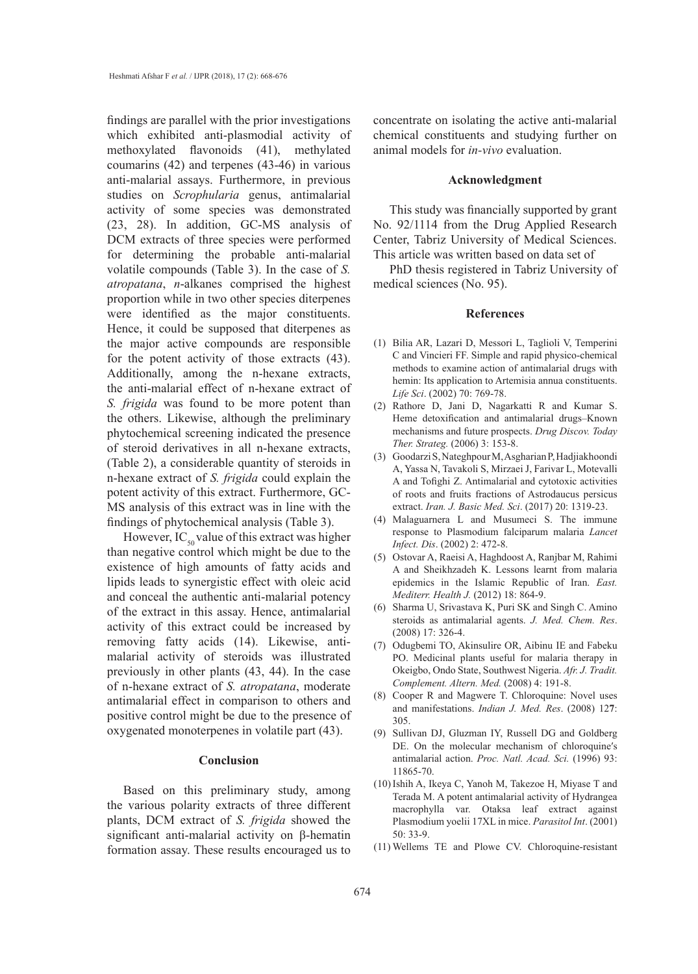findings are parallel with the prior investigations which exhibited anti-plasmodial activity of methoxylated flavonoids (41), methylated coumarins (42) and terpenes (43-46) in various anti-malarial assays. Furthermore, in previous studies on *Scrophularia* genus, antimalarial activity of some species was demonstrated (23, 28). In addition, GC-MS analysis of DCM extracts of three species were performed for determining the probable anti-malarial volatile compounds (Table 3). In the case of *S. atropatana*, *n*-alkanes comprised the highest proportion while in two other species diterpenes were identified as the major constituents. Hence, it could be supposed that diterpenes as the major active compounds are responsible for the potent activity of those extracts (43). Additionally, among the n-hexane extracts, the anti-malarial effect of n-hexane extract of *S. frigida* was found to be more potent than the others. Likewise, although the preliminary phytochemical screening indicated the presence of steroid derivatives in all n-hexane extracts, (Table 2), a considerable quantity of steroids in n-hexane extract of *S. frigida* could explain the potent activity of this extract. Furthermore, GC-MS analysis of this extract was in line with the findings of phytochemical analysis (Table 3).

However,  $IC_{50}$  value of this extract was higher than negative control which might be due to the existence of high amounts of fatty acids and lipids leads to synergistic effect with oleic acid and conceal the authentic anti-malarial potency of the extract in this assay. Hence, antimalarial activity of this extract could be increased by removing fatty acids (14). Likewise, antimalarial activity of steroids was illustrated previously in other plants (43, 44). In the case of n-hexane extract of *S. atropatana*, moderate antimalarial effect in comparison to others and positive control might be due to the presence of oxygenated monoterpenes in volatile part (43).

# **Conclusion**

Based on this preliminary study, among the various polarity extracts of three different plants, DCM extract of *S. frigida* showed the significant anti-malarial activity on β-hematin formation assay. These results encouraged us to

concentrate on isolating the active anti-malarial chemical constituents and studying further on animal models for *in-vivo* evaluation.

## **Acknowledgment**

This study was financially supported by grant No. 92/1114 from the Drug Applied Research Center, Tabriz University of Medical Sciences. This article was written based on data set of

PhD thesis registered in Tabriz University of medical sciences (No. 95).

#### **References**

- Bilia AR, Lazari D, Messori L, Taglioli V, Temperini (1) C and Vincieri FF. Simple and rapid physico-chemical methods to examine action of antimalarial drugs with hemin: Its application to Artemisia annua constituents. *Life Sci*. (2002) 70: 769-78.
- (2) Rathore D, Jani D, Nagarkatti R and Kumar S. Heme detoxification and antimalarial drugs–Known mechanisms and future prospects. *Drug Discov. Today Ther. Strateg.* (2006) 3: 153-8.
- Goodarzi S, Nateghpour M, Asgharian P, Hadjiakhoondi (3) A, Yassa N, Tavakoli S, Mirzaei J, Farivar L, Motevalli A and Tofighi Z. Antimalarial and cytotoxic activities of roots and fruits fractions of Astrodaucus persicus extract. *Iran. J. Basic Med. Sci*. (2017) 20: 1319-23.
- Malaguarnera L and Musumeci S. The immune (4) response to Plasmodium falciparum malaria *Lancet Infect. Dis*. (2002) 2: 472-8.
- Ostovar A, Raeisi A, Haghdoost A, Ranjbar M, Rahimi (5) A and Sheikhzadeh K. Lessons learnt from malaria epidemics in the Islamic Republic of Iran. *East. Mediterr. Health J.* (2012) 18: 864-9.
- (6) Sharma U, Srivastava K, Puri SK and Singh C. Amino steroids as antimalarial agents. *J. Med. Chem. Res*. (2008) 17: 326-4.
- (7) Odugbemi TO, Akinsulire OR, Aibinu IE and Fabeku PO. Medicinal plants useful for malaria therapy in Okeigbo, Ondo State, Southwest Nigeria. *Afr. J. Tradit. Complement. Altern. Med.* (2008) 4: 191-8.
- (8) Cooper R and Magwere T. Chloroquine: Novel uses and manifestations. *Indian J. Med. Res*. (2008) 12**7**: 305.
- (9) Sullivan DJ, Gluzman IY, Russell DG and Goldberg DE. On the molecular mechanism of chloroquine's antimalarial action. *Proc. Natl. Acad. Sci.* (1996) 93: 11865-70.
- $(10)$  Ishih A, Ikeya C, Yanoh M, Takezoe H, Miyase T and Terada M. A potent antimalarial activity of Hydrangea macrophylla var. Otaksa leaf extract against Plasmodium yoelii 17XL in mice. *Parasitol Int*. (2001) 50: 33-9.
- Wellems TE and Plowe CV. Chloroquine-resistant (11)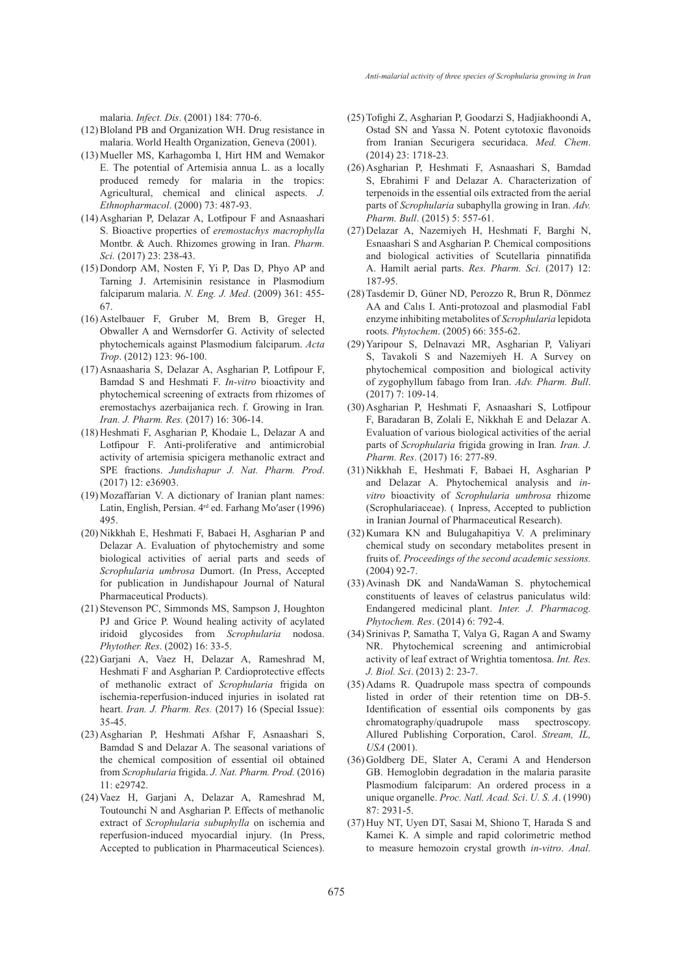malaria. *Infect. Dis*. (2001) 184: 770-6.

- Bloland PB and Organization WH. Drug resistance in (12) malaria. World Health Organization, Geneva (2001).
- Mueller MS, Karhagomba I, Hirt HM and Wemakor (13) E. The potential of Artemisia annua L. as a locally produced remedy for malaria in the tropics: Agricultural, chemical and clinical aspects. *J. Ethnopharmacol*. (2000) 73: 487-93.
- Asgharian P, Delazar A, Lotfipour F and Asnaashari (14) S. Bioactive properties of *eremostachys macrophylla* Montbr. & Auch. Rhizomes growing in Iran. *Pharm. Sci.* (2017) 23: 238-43.
- $(15)$ Dondorp AM, Nosten F, Yi P, Das D, Phyo AP and Tarning J. Artemisinin resistance in Plasmodium falciparum malaria. *N. Eng. J. Med*. (2009) 361: 455- 67.
- (16) Astelbauer F, Gruber M, Brem B, Greger H, Obwaller A and Wernsdorfer G. Activity of selected phytochemicals against Plasmodium falciparum. *Acta Trop*. (2012) 123: 96-100.
- Asnaasharia S, Delazar A, Asgharian P, Lotfipour F, (17) Bamdad S and Heshmati F. *In-vitro* bioactivity and phytochemical screening of extracts from rhizomes of eremostachys azerbaijanica rech. f. Growing in Iran*. Iran. J. Pharm. Res.* (2017) 16: 306-14.
- (18) Heshmati F, Asgharian P, Khodaie L, Delazar A and Lotfipour F. Anti-proliferative and antimicrobial activity of artemisia spicigera methanolic extract and SPE fractions. *Jundishapur J. Nat. Pharm. Prod*. (2017) 12: e36903.
- (19) Mozaffarian V. A dictionary of Iranian plant names: Latin, English, Persian. 4rd ed. Farhang Moʹaser (1996) 495.
- (20) Nikkhah E, Heshmati F, Babaei H, Asgharian P and Delazar A. Evaluation of phytochemistry and some biological activities of aerial parts and seeds of *Scrophularia umbrosa* Dumort. (In Press, Accepted for publication in Jundishapour Journal of Natural Pharmaceutical Products).
- (21) Stevenson PC, Simmonds MS, Sampson J, Houghton PJ and Grice P. Wound healing activity of acylated iridoid glycosides from *Scrophularia* nodosa. *Phytother. Res*. (2002) 16: 33-5.
- (22) Garjani A, Vaez H, Delazar A, Rameshrad M, Heshmati F and Asgharian P. Cardioprotective effects of methanolic extract of *Scrophularia* frigida on ischemia-reperfusion-induced injuries in isolated rat heart. *Iran. J. Pharm. Res.* (2017) 16 (Special Issue): 35-45.
- Asgharian P, Heshmati Afshar F, Asnaashari S, (23) Bamdad S and Delazar A. The seasonal variations of the chemical composition of essential oil obtained from *Scrophularia* frigida. *J. Nat. Pharm. Prod.* (2016) 11: e29742.
- (24) Vaez H, Garjani A, Delazar A, Rameshrad M, Toutounchi N and Asgharian P. Effects of methanolic extract of *Scrophularia subuphylla* on ischemia and reperfusion-induced myocardial injury. (In Press, Accepted to publication in Pharmaceutical Sciences).
- Tofighi Z, Asgharian P, Goodarzi S, Hadjiakhoondi A, (25) Ostad SN and Yassa N. Potent cytotoxic flavonoids from Iranian Securigera securidaca. *Med. Chem*. (2014) 23: 1718-23.
- (26) Asgharian P, Heshmati F, Asnaashari S, Bamdad S, Ebrahimi F and Delazar A. Characterization of terpenoids in the essential oils extracted from the aerial parts of *Scrophularia* subaphylla growing in Iran. *Adv. Pharm. Bull*. (2015) 5: 557-61.
- (27) Delazar A, Nazemiyeh H, Heshmati F, Barghi N, Esnaashari S and Asgharian P. Chemical compositions and biological activities of Scutellaria pinnatifida A. Hamilt aerial parts. *Res. Pharm. Sci.* (2017) 12: 187-95.
- (28) Tasdemir D, Güner ND, Perozzo R, Brun R, Dönmez AA and Calıs I. Anti-protozoal and plasmodial FabI enzyme inhibiting metabolites of *Scrophularia* lepidota roots. *Phytochem*. (2005) 66: 355-62.
- (29) Yaripour S, Delnavazi MR, Asgharian P, Valiyari S, Tavakoli S and Nazemiyeh H. A Survey on phytochemical composition and biological activity of zygophyllum fabago from Iran. *Adv. Pharm. Bull*. (2017) 7: 109-14.
- (30) Asgharian P, Heshmati F, Asnaashari S, Lotfipour F, Baradaran B, Zolali E, Nikkhah E and Delazar A. Evaluation of various biological activities of the aerial parts of *Scrophularia* frigida growing in Iran*. Iran. J. Pharm. Res*. (2017) 16: 277-89.
- (31) Nikkhah E, Heshmati F, Babaei H, Asgharian P and Delazar A. Phytochemical analysis and *invitro* bioactivity of *Scrophularia umbrosa* rhizome (Scrophulariaceae). ( Inpress, Accepted to publiction in Iranian Journal of Pharmaceutical Research).
- $(32)$  Kumara KN and Bulugahapitiya V. A preliminary chemical study on secondary metabolites present in fruits of. *Proceedings of the second academic sessions.*  (2004) 92-7.
- (33) Avinash DK and NandaWaman S. phytochemical constituents of leaves of celastrus paniculatus wild: Endangered medicinal plant. *Inter. J. Pharmacog. Phytochem. Res*. (2014) 6: 792-4.
- (34) Srinivas P, Samatha T, Valya G, Ragan A and Swamy NR. Phytochemical screening and antimicrobial activity of leaf extract of Wrightia tomentosa. *Int. Res. J. Biol. Sci*. (2013) 2: 23-7.
- (35) Adams R. Quadrupole mass spectra of compounds listed in order of their retention time on DB-5. Identification of essential oils components by gas chromatography/quadrupole mass spectroscopy. Allured Publishing Corporation, Carol. *Stream, IL, USA* (2001).
- Goldberg DE, Slater A, Cerami A and Henderson (36) GB. Hemoglobin degradation in the malaria parasite Plasmodium falciparum: An ordered process in a unique organelle. *Proc. Natl. Acad. Sci*. *U. S. A*. (1990) 87: 2931-5.
- (37) Huy NT, Uyen DT, Sasai M, Shiono T, Harada S and Kamei K. A simple and rapid colorimetric method to measure hemozoin crystal growth *in-vitro*. *Anal.*